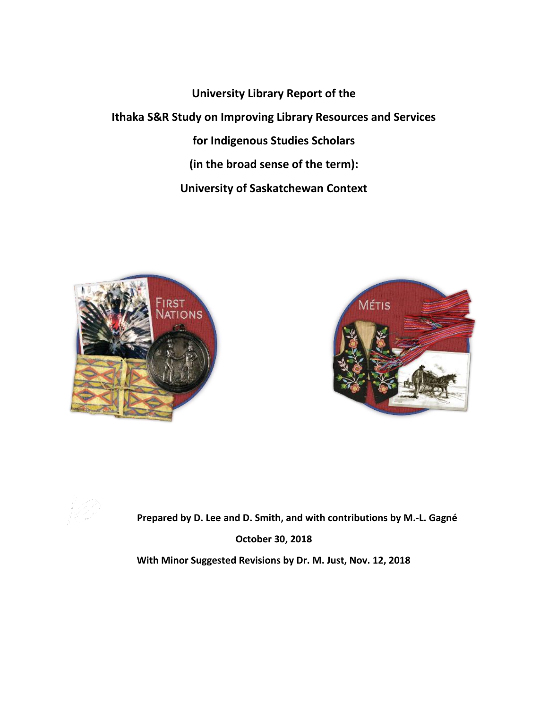**University Library Report of the Ithaka S&R Study on Improving Library Resources and Services for Indigenous Studies Scholars (in the broad sense of the term): University of Saskatchewan Context**





**Prepared by D. Lee and D. Smith, and with contributions by M.-L. Gagné October 30, 2018**

**With Minor Suggested Revisions by Dr. M. Just, Nov. 12, 2018**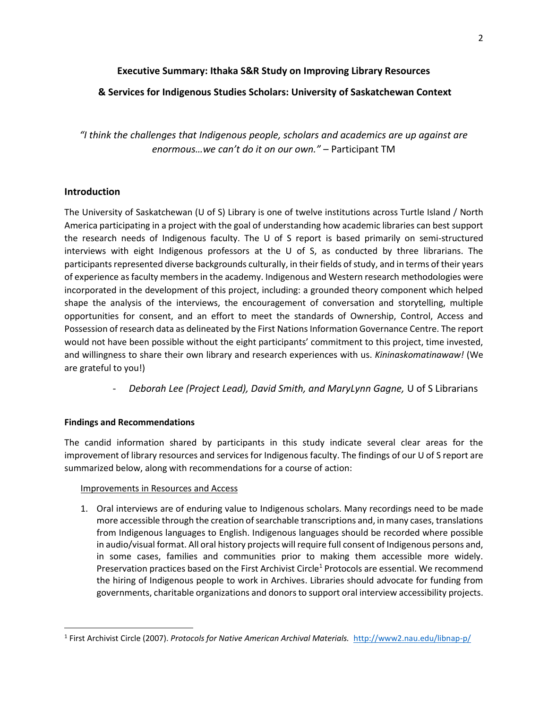### **Executive Summary: Ithaka S&R Study on Improving Library Resources**

## **& Services for Indigenous Studies Scholars: University of Saskatchewan Context**

*"I think the challenges that Indigenous people, scholars and academics are up against are enormous…we can't do it on our own."* – Participant TM

### **Introduction**

The University of Saskatchewan (U of S) Library is one of twelve institutions across Turtle Island / North America participating in a project with the goal of understanding how academic libraries can best support the research needs of Indigenous faculty. The U of S report is based primarily on semi-structured interviews with eight Indigenous professors at the U of S, as conducted by three librarians. The participants represented diverse backgrounds culturally, in their fields of study, and in terms of their years of experience as faculty members in the academy. Indigenous and Western research methodologies were incorporated in the development of this project, including: a grounded theory component which helped shape the analysis of the interviews, the encouragement of conversation and storytelling, multiple opportunities for consent, and an effort to meet the standards of Ownership, Control, Access and Possession of research data as delineated by the First Nations Information Governance Centre. The report would not have been possible without the eight participants' commitment to this project, time invested, and willingness to share their own library and research experiences with us. *Kininaskomatinawaw!* (We are grateful to you!)

- *Deborah Lee (Project Lead), David Smith, and MaryLynn Gagne,* U of S Librarians

## **Findings and Recommendations**

 $\overline{\phantom{a}}$ 

The candid information shared by participants in this study indicate several clear areas for the improvement of library resources and services for Indigenous faculty. The findings of our U of S report are summarized below, along with recommendations for a course of action:

### Improvements in Resources and Access

1. Oral interviews are of enduring value to Indigenous scholars. Many recordings need to be made more accessible through the creation of searchable transcriptions and, in many cases, translations from Indigenous languages to English. Indigenous languages should be recorded where possible in audio/visual format. All oral history projects will require full consent of Indigenous persons and, in some cases, families and communities prior to making them accessible more widely. Preservation practices based on the First Archivist Circle<sup>1</sup> Protocols are essential. We recommend the hiring of Indigenous people to work in Archives. Libraries should advocate for funding from governments, charitable organizations and donors to support oral interview accessibility projects.

<sup>1</sup> First Archivist Circle (2007). *Protocols for Native American Archival Materials.* <http://www2.nau.edu/libnap-p/>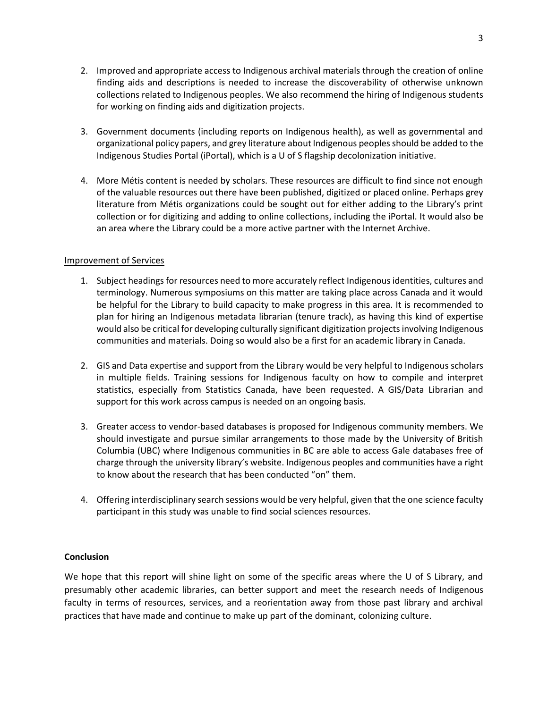- 2. Improved and appropriate access to Indigenous archival materials through the creation of online finding aids and descriptions is needed to increase the discoverability of otherwise unknown collections related to Indigenous peoples. We also recommend the hiring of Indigenous students for working on finding aids and digitization projects.
- 3. Government documents (including reports on Indigenous health), as well as governmental and organizational policy papers, and grey literature about Indigenous peoples should be added to the Indigenous Studies Portal (iPortal), which is a U of S flagship decolonization initiative.
- 4. More Métis content is needed by scholars. These resources are difficult to find since not enough of the valuable resources out there have been published, digitized or placed online. Perhaps grey literature from Métis organizations could be sought out for either adding to the Library's print collection or for digitizing and adding to online collections, including the iPortal. It would also be an area where the Library could be a more active partner with the Internet Archive.

#### Improvement of Services

- 1. Subject headings for resources need to more accurately reflect Indigenous identities, cultures and terminology. Numerous symposiums on this matter are taking place across Canada and it would be helpful for the Library to build capacity to make progress in this area. It is recommended to plan for hiring an Indigenous metadata librarian (tenure track), as having this kind of expertise would also be critical for developing culturally significant digitization projectsinvolving Indigenous communities and materials. Doing so would also be a first for an academic library in Canada.
- 2. GIS and Data expertise and support from the Library would be very helpful to Indigenous scholars in multiple fields. Training sessions for Indigenous faculty on how to compile and interpret statistics, especially from Statistics Canada, have been requested. A GIS/Data Librarian and support for this work across campus is needed on an ongoing basis.
- 3. Greater access to vendor-based databases is proposed for Indigenous community members. We should investigate and pursue similar arrangements to those made by the University of British Columbia (UBC) where Indigenous communities in BC are able to access Gale databases free of charge through the university library's website. Indigenous peoples and communities have a right to know about the research that has been conducted "on" them.
- 4. Offering interdisciplinary search sessions would be very helpful, given that the one science faculty participant in this study was unable to find social sciences resources.

### **Conclusion**

We hope that this report will shine light on some of the specific areas where the U of S Library, and presumably other academic libraries, can better support and meet the research needs of Indigenous faculty in terms of resources, services, and a reorientation away from those past library and archival practices that have made and continue to make up part of the dominant, colonizing culture.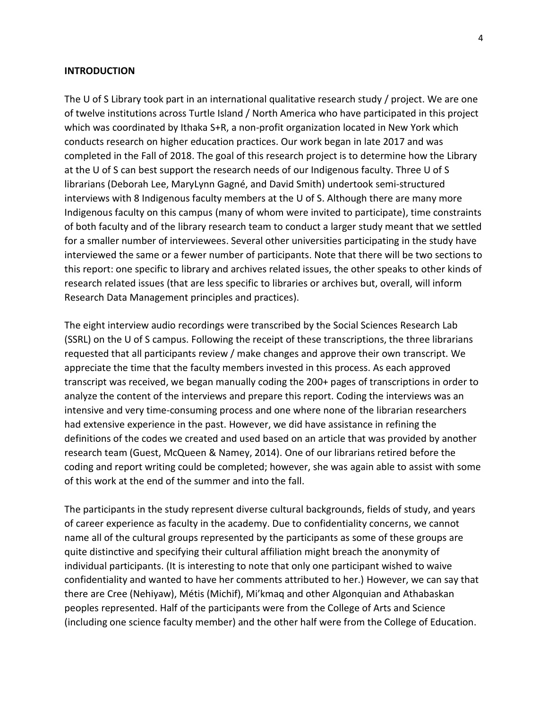#### **INTRODUCTION**

The U of S Library took part in an international qualitative research study / project. We are one of twelve institutions across Turtle Island / North America who have participated in this project which was coordinated by Ithaka S+R, a non-profit organization located in New York which conducts research on higher education practices. Our work began in late 2017 and was completed in the Fall of 2018. The goal of this research project is to determine how the Library at the U of S can best support the research needs of our Indigenous faculty. Three U of S librarians (Deborah Lee, MaryLynn Gagné, and David Smith) undertook semi-structured interviews with 8 Indigenous faculty members at the U of S. Although there are many more Indigenous faculty on this campus (many of whom were invited to participate), time constraints of both faculty and of the library research team to conduct a larger study meant that we settled for a smaller number of interviewees. Several other universities participating in the study have interviewed the same or a fewer number of participants. Note that there will be two sections to this report: one specific to library and archives related issues, the other speaks to other kinds of research related issues (that are less specific to libraries or archives but, overall, will inform Research Data Management principles and practices).

The eight interview audio recordings were transcribed by the Social Sciences Research Lab (SSRL) on the U of S campus. Following the receipt of these transcriptions, the three librarians requested that all participants review / make changes and approve their own transcript. We appreciate the time that the faculty members invested in this process. As each approved transcript was received, we began manually coding the 200+ pages of transcriptions in order to analyze the content of the interviews and prepare this report. Coding the interviews was an intensive and very time-consuming process and one where none of the librarian researchers had extensive experience in the past. However, we did have assistance in refining the definitions of the codes we created and used based on an article that was provided by another research team (Guest, McQueen & Namey, 2014). One of our librarians retired before the coding and report writing could be completed; however, she was again able to assist with some of this work at the end of the summer and into the fall.

The participants in the study represent diverse cultural backgrounds, fields of study, and years of career experience as faculty in the academy. Due to confidentiality concerns, we cannot name all of the cultural groups represented by the participants as some of these groups are quite distinctive and specifying their cultural affiliation might breach the anonymity of individual participants. (It is interesting to note that only one participant wished to waive confidentiality and wanted to have her comments attributed to her.) However, we can say that there are Cree (Nehiyaw), Métis (Michif), Mi'kmaq and other Algonquian and Athabaskan peoples represented. Half of the participants were from the College of Arts and Science (including one science faculty member) and the other half were from the College of Education.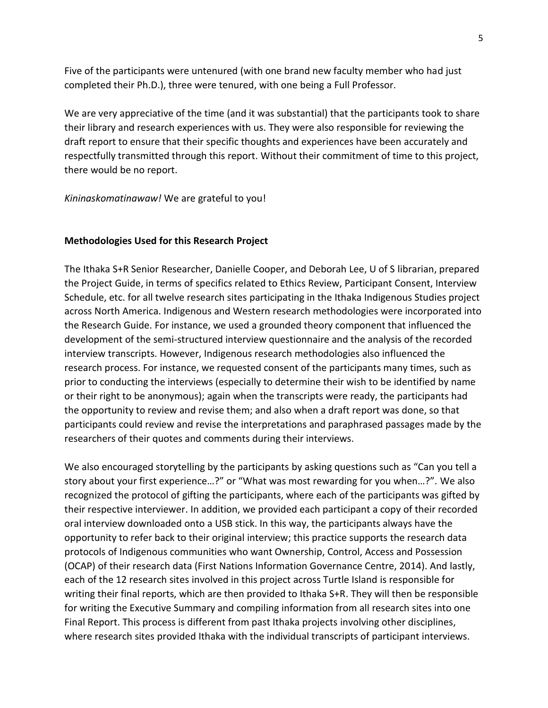Five of the participants were untenured (with one brand new faculty member who had just completed their Ph.D.), three were tenured, with one being a Full Professor.

We are very appreciative of the time (and it was substantial) that the participants took to share their library and research experiences with us. They were also responsible for reviewing the draft report to ensure that their specific thoughts and experiences have been accurately and respectfully transmitted through this report. Without their commitment of time to this project, there would be no report.

*Kininaskomatinawaw!* We are grateful to you!

### **Methodologies Used for this Research Project**

The Ithaka S+R Senior Researcher, Danielle Cooper, and Deborah Lee, U of S librarian, prepared the Project Guide, in terms of specifics related to Ethics Review, Participant Consent, Interview Schedule, etc. for all twelve research sites participating in the Ithaka Indigenous Studies project across North America. Indigenous and Western research methodologies were incorporated into the Research Guide. For instance, we used a grounded theory component that influenced the development of the semi-structured interview questionnaire and the analysis of the recorded interview transcripts. However, Indigenous research methodologies also influenced the research process. For instance, we requested consent of the participants many times, such as prior to conducting the interviews (especially to determine their wish to be identified by name or their right to be anonymous); again when the transcripts were ready, the participants had the opportunity to review and revise them; and also when a draft report was done, so that participants could review and revise the interpretations and paraphrased passages made by the researchers of their quotes and comments during their interviews.

We also encouraged storytelling by the participants by asking questions such as "Can you tell a story about your first experience…?" or "What was most rewarding for you when…?". We also recognized the protocol of gifting the participants, where each of the participants was gifted by their respective interviewer. In addition, we provided each participant a copy of their recorded oral interview downloaded onto a USB stick. In this way, the participants always have the opportunity to refer back to their original interview; this practice supports the research data protocols of Indigenous communities who want Ownership, Control, Access and Possession (OCAP) of their research data (First Nations Information Governance Centre, 2014). And lastly, each of the 12 research sites involved in this project across Turtle Island is responsible for writing their final reports, which are then provided to Ithaka S+R. They will then be responsible for writing the Executive Summary and compiling information from all research sites into one Final Report. This process is different from past Ithaka projects involving other disciplines, where research sites provided Ithaka with the individual transcripts of participant interviews.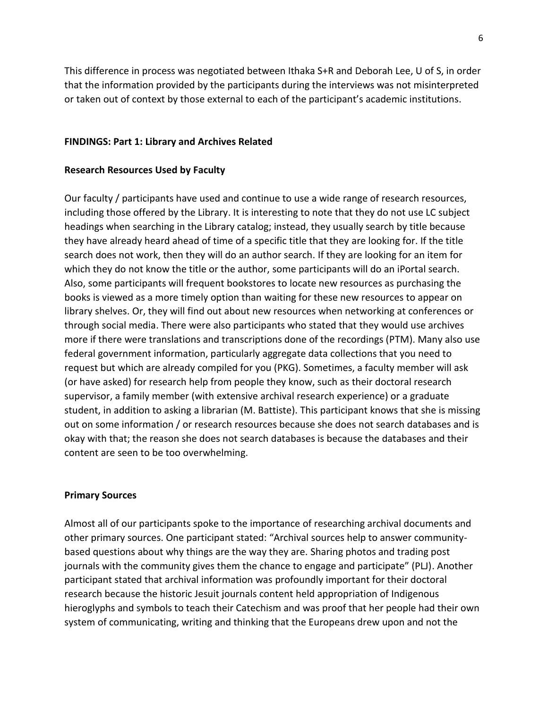6

This difference in process was negotiated between Ithaka S+R and Deborah Lee, U of S, in order that the information provided by the participants during the interviews was not misinterpreted or taken out of context by those external to each of the participant's academic institutions.

### **FINDINGS: Part 1: Library and Archives Related**

#### **Research Resources Used by Faculty**

Our faculty / participants have used and continue to use a wide range of research resources, including those offered by the Library. It is interesting to note that they do not use LC subject headings when searching in the Library catalog; instead, they usually search by title because they have already heard ahead of time of a specific title that they are looking for. If the title search does not work, then they will do an author search. If they are looking for an item for which they do not know the title or the author, some participants will do an iPortal search. Also, some participants will frequent bookstores to locate new resources as purchasing the books is viewed as a more timely option than waiting for these new resources to appear on library shelves. Or, they will find out about new resources when networking at conferences or through social media. There were also participants who stated that they would use archives more if there were translations and transcriptions done of the recordings (PTM). Many also use federal government information, particularly aggregate data collections that you need to request but which are already compiled for you (PKG). Sometimes, a faculty member will ask (or have asked) for research help from people they know, such as their doctoral research supervisor, a family member (with extensive archival research experience) or a graduate student, in addition to asking a librarian (M. Battiste). This participant knows that she is missing out on some information / or research resources because she does not search databases and is okay with that; the reason she does not search databases is because the databases and their content are seen to be too overwhelming.

#### **Primary Sources**

Almost all of our participants spoke to the importance of researching archival documents and other primary sources. One participant stated: "Archival sources help to answer communitybased questions about why things are the way they are. Sharing photos and trading post journals with the community gives them the chance to engage and participate" (PLJ). Another participant stated that archival information was profoundly important for their doctoral research because the historic Jesuit journals content held appropriation of Indigenous hieroglyphs and symbols to teach their Catechism and was proof that her people had their own system of communicating, writing and thinking that the Europeans drew upon and not the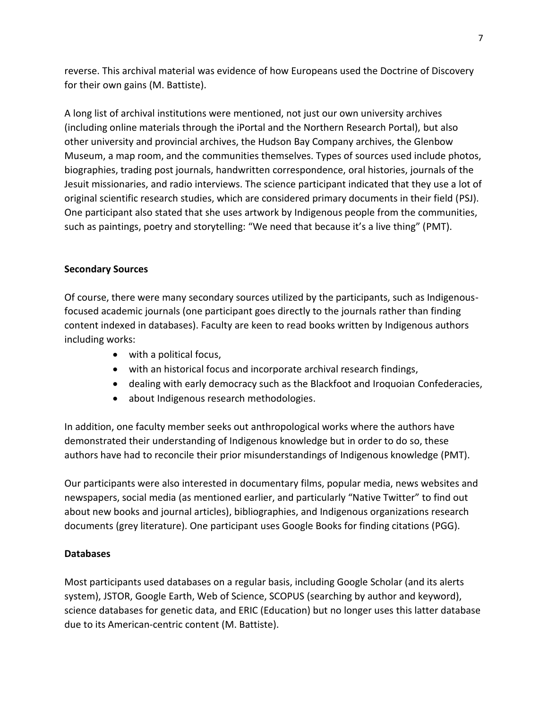reverse. This archival material was evidence of how Europeans used the Doctrine of Discovery for their own gains (M. Battiste).

A long list of archival institutions were mentioned, not just our own university archives (including online materials through the iPortal and the Northern Research Portal), but also other university and provincial archives, the Hudson Bay Company archives, the Glenbow Museum, a map room, and the communities themselves. Types of sources used include photos, biographies, trading post journals, handwritten correspondence, oral histories, journals of the Jesuit missionaries, and radio interviews. The science participant indicated that they use a lot of original scientific research studies, which are considered primary documents in their field (PSJ). One participant also stated that she uses artwork by Indigenous people from the communities, such as paintings, poetry and storytelling: "We need that because it's a live thing" (PMT).

# **Secondary Sources**

Of course, there were many secondary sources utilized by the participants, such as Indigenousfocused academic journals (one participant goes directly to the journals rather than finding content indexed in databases). Faculty are keen to read books written by Indigenous authors including works:

- with a political focus,
- with an historical focus and incorporate archival research findings,
- dealing with early democracy such as the Blackfoot and Iroquoian Confederacies,
- about Indigenous research methodologies.

In addition, one faculty member seeks out anthropological works where the authors have demonstrated their understanding of Indigenous knowledge but in order to do so, these authors have had to reconcile their prior misunderstandings of Indigenous knowledge (PMT).

Our participants were also interested in documentary films, popular media, news websites and newspapers, social media (as mentioned earlier, and particularly "Native Twitter" to find out about new books and journal articles), bibliographies, and Indigenous organizations research documents (grey literature). One participant uses Google Books for finding citations (PGG).

# **Databases**

Most participants used databases on a regular basis, including Google Scholar (and its alerts system), JSTOR, Google Earth, Web of Science, SCOPUS (searching by author and keyword), science databases for genetic data, and ERIC (Education) but no longer uses this latter database due to its American-centric content (M. Battiste).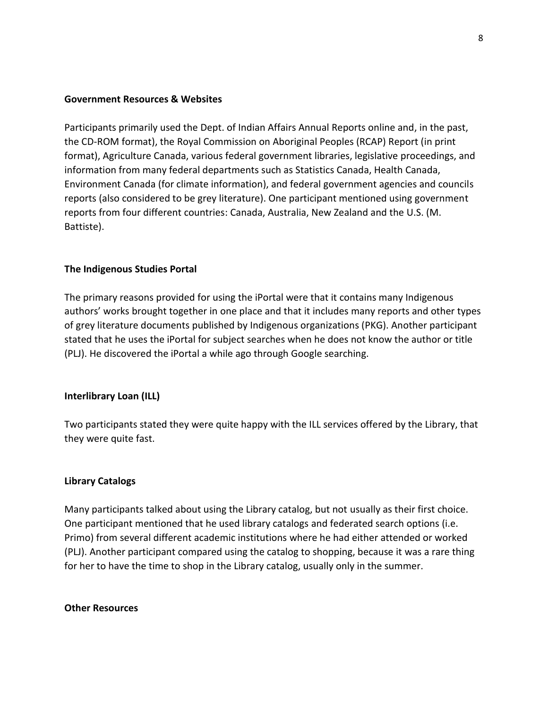### **Government Resources & Websites**

Participants primarily used the Dept. of Indian Affairs Annual Reports online and, in the past, the CD-ROM format), the Royal Commission on Aboriginal Peoples (RCAP) Report (in print format), Agriculture Canada, various federal government libraries, legislative proceedings, and information from many federal departments such as Statistics Canada, Health Canada, Environment Canada (for climate information), and federal government agencies and councils reports (also considered to be grey literature). One participant mentioned using government reports from four different countries: Canada, Australia, New Zealand and the U.S. (M. Battiste).

### **The Indigenous Studies Portal**

The primary reasons provided for using the iPortal were that it contains many Indigenous authors' works brought together in one place and that it includes many reports and other types of grey literature documents published by Indigenous organizations (PKG). Another participant stated that he uses the iPortal for subject searches when he does not know the author or title (PLJ). He discovered the iPortal a while ago through Google searching.

#### **Interlibrary Loan (ILL)**

Two participants stated they were quite happy with the ILL services offered by the Library, that they were quite fast.

#### **Library Catalogs**

Many participants talked about using the Library catalog, but not usually as their first choice. One participant mentioned that he used library catalogs and federated search options (i.e. Primo) from several different academic institutions where he had either attended or worked (PLJ). Another participant compared using the catalog to shopping, because it was a rare thing for her to have the time to shop in the Library catalog, usually only in the summer.

## **Other Resources**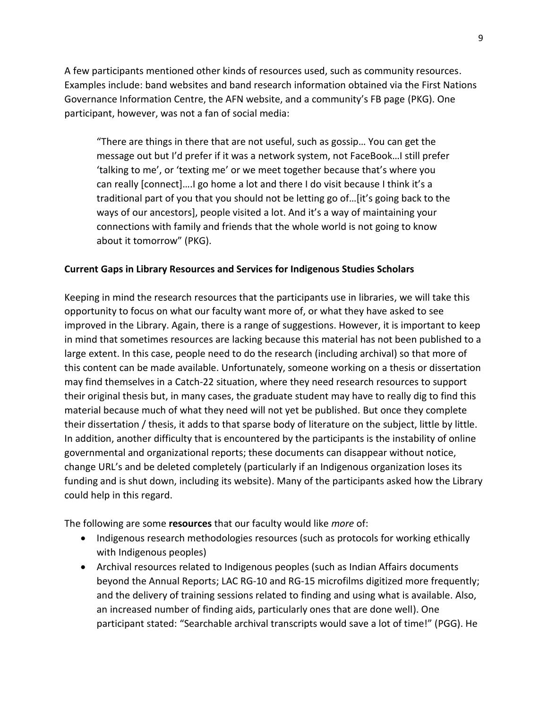A few participants mentioned other kinds of resources used, such as community resources. Examples include: band websites and band research information obtained via the First Nations Governance Information Centre, the AFN website, and a community's FB page (PKG). One participant, however, was not a fan of social media:

"There are things in there that are not useful, such as gossip… You can get the message out but I'd prefer if it was a network system, not FaceBook…I still prefer 'talking to me', or 'texting me' or we meet together because that's where you can really [connect]….I go home a lot and there I do visit because I think it's a traditional part of you that you should not be letting go of…[it's going back to the ways of our ancestors], people visited a lot. And it's a way of maintaining your connections with family and friends that the whole world is not going to know about it tomorrow" (PKG).

## **Current Gaps in Library Resources and Services for Indigenous Studies Scholars**

Keeping in mind the research resources that the participants use in libraries, we will take this opportunity to focus on what our faculty want more of, or what they have asked to see improved in the Library. Again, there is a range of suggestions. However, it is important to keep in mind that sometimes resources are lacking because this material has not been published to a large extent. In this case, people need to do the research (including archival) so that more of this content can be made available. Unfortunately, someone working on a thesis or dissertation may find themselves in a Catch-22 situation, where they need research resources to support their original thesis but, in many cases, the graduate student may have to really dig to find this material because much of what they need will not yet be published. But once they complete their dissertation / thesis, it adds to that sparse body of literature on the subject, little by little. In addition, another difficulty that is encountered by the participants is the instability of online governmental and organizational reports; these documents can disappear without notice, change URL's and be deleted completely (particularly if an Indigenous organization loses its funding and is shut down, including its website). Many of the participants asked how the Library could help in this regard.

The following are some **resources** that our faculty would like *more* of:

- Indigenous research methodologies resources (such as protocols for working ethically with Indigenous peoples)
- Archival resources related to Indigenous peoples (such as Indian Affairs documents beyond the Annual Reports; LAC RG-10 and RG-15 microfilms digitized more frequently; and the delivery of training sessions related to finding and using what is available. Also, an increased number of finding aids, particularly ones that are done well). One participant stated: "Searchable archival transcripts would save a lot of time!" (PGG). He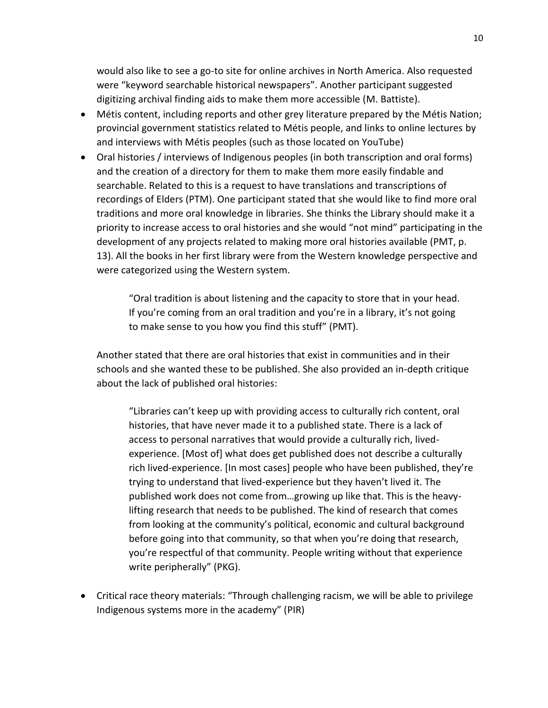would also like to see a go-to site for online archives in North America. Also requested were "keyword searchable historical newspapers". Another participant suggested digitizing archival finding aids to make them more accessible (M. Battiste).

- Métis content, including reports and other grey literature prepared by the Métis Nation; provincial government statistics related to Métis people, and links to online lectures by and interviews with Métis peoples (such as those located on YouTube)
- Oral histories / interviews of Indigenous peoples (in both transcription and oral forms) and the creation of a directory for them to make them more easily findable and searchable. Related to this is a request to have translations and transcriptions of recordings of Elders (PTM). One participant stated that she would like to find more oral traditions and more oral knowledge in libraries. She thinks the Library should make it a priority to increase access to oral histories and she would "not mind" participating in the development of any projects related to making more oral histories available (PMT, p. 13). All the books in her first library were from the Western knowledge perspective and were categorized using the Western system.

"Oral tradition is about listening and the capacity to store that in your head. If you're coming from an oral tradition and you're in a library, it's not going to make sense to you how you find this stuff" (PMT).

Another stated that there are oral histories that exist in communities and in their schools and she wanted these to be published. She also provided an in-depth critique about the lack of published oral histories:

"Libraries can't keep up with providing access to culturally rich content, oral histories, that have never made it to a published state. There is a lack of access to personal narratives that would provide a culturally rich, livedexperience. [Most of] what does get published does not describe a culturally rich lived-experience. [In most cases] people who have been published, they're trying to understand that lived-experience but they haven't lived it. The published work does not come from…growing up like that. This is the heavylifting research that needs to be published. The kind of research that comes from looking at the community's political, economic and cultural background before going into that community, so that when you're doing that research, you're respectful of that community. People writing without that experience write peripherally" (PKG).

• Critical race theory materials: "Through challenging racism, we will be able to privilege Indigenous systems more in the academy" (PIR)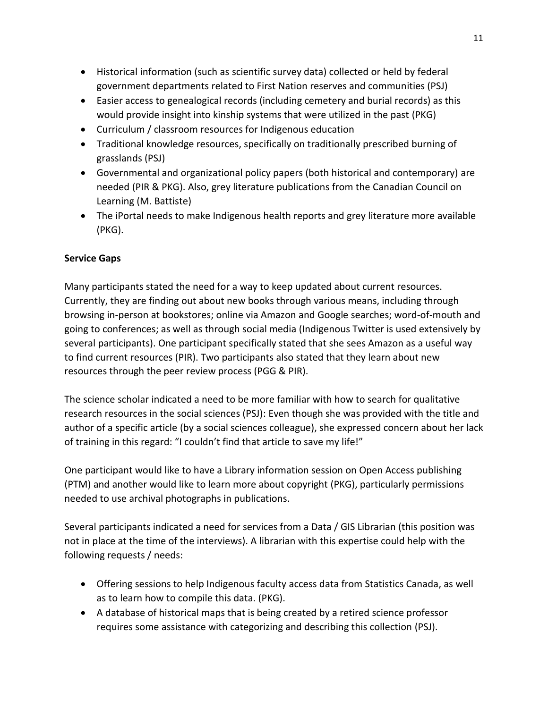- Historical information (such as scientific survey data) collected or held by federal government departments related to First Nation reserves and communities (PSJ)
- Easier access to genealogical records (including cemetery and burial records) as this would provide insight into kinship systems that were utilized in the past (PKG)
- Curriculum / classroom resources for Indigenous education
- Traditional knowledge resources, specifically on traditionally prescribed burning of grasslands (PSJ)
- Governmental and organizational policy papers (both historical and contemporary) are needed (PIR & PKG). Also, grey literature publications from the Canadian Council on Learning (M. Battiste)
- The iPortal needs to make Indigenous health reports and grey literature more available (PKG).

# **Service Gaps**

Many participants stated the need for a way to keep updated about current resources. Currently, they are finding out about new books through various means, including through browsing in-person at bookstores; online via Amazon and Google searches; word-of-mouth and going to conferences; as well as through social media (Indigenous Twitter is used extensively by several participants). One participant specifically stated that she sees Amazon as a useful way to find current resources (PIR). Two participants also stated that they learn about new resources through the peer review process (PGG & PIR).

The science scholar indicated a need to be more familiar with how to search for qualitative research resources in the social sciences (PSJ): Even though she was provided with the title and author of a specific article (by a social sciences colleague), she expressed concern about her lack of training in this regard: "I couldn't find that article to save my life!"

One participant would like to have a Library information session on Open Access publishing (PTM) and another would like to learn more about copyright (PKG), particularly permissions needed to use archival photographs in publications.

Several participants indicated a need for services from a Data / GIS Librarian (this position was not in place at the time of the interviews). A librarian with this expertise could help with the following requests / needs:

- Offering sessions to help Indigenous faculty access data from Statistics Canada, as well as to learn how to compile this data. (PKG).
- A database of historical maps that is being created by a retired science professor requires some assistance with categorizing and describing this collection (PSJ).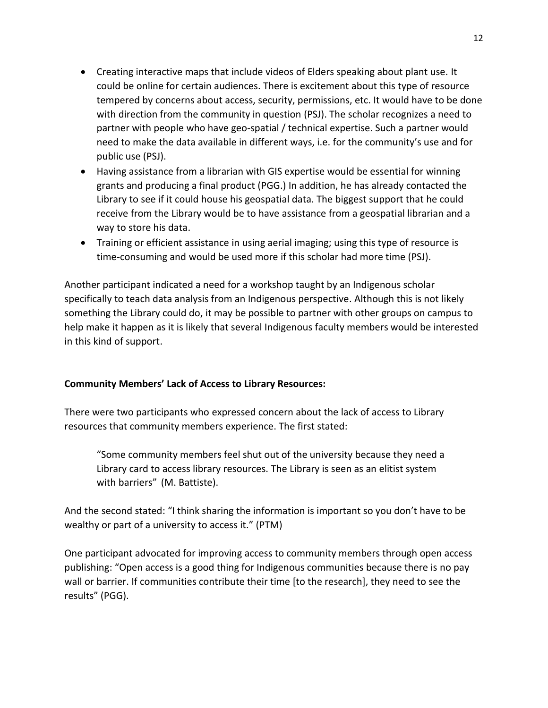- Creating interactive maps that include videos of Elders speaking about plant use. It could be online for certain audiences. There is excitement about this type of resource tempered by concerns about access, security, permissions, etc. It would have to be done with direction from the community in question (PSJ). The scholar recognizes a need to partner with people who have geo-spatial / technical expertise. Such a partner would need to make the data available in different ways, i.e. for the community's use and for public use (PSJ).
- Having assistance from a librarian with GIS expertise would be essential for winning grants and producing a final product (PGG.) In addition, he has already contacted the Library to see if it could house his geospatial data. The biggest support that he could receive from the Library would be to have assistance from a geospatial librarian and a way to store his data.
- Training or efficient assistance in using aerial imaging; using this type of resource is time-consuming and would be used more if this scholar had more time (PSJ).

Another participant indicated a need for a workshop taught by an Indigenous scholar specifically to teach data analysis from an Indigenous perspective. Although this is not likely something the Library could do, it may be possible to partner with other groups on campus to help make it happen as it is likely that several Indigenous faculty members would be interested in this kind of support.

## **Community Members' Lack of Access to Library Resources:**

There were two participants who expressed concern about the lack of access to Library resources that community members experience. The first stated:

"Some community members feel shut out of the university because they need a Library card to access library resources. The Library is seen as an elitist system with barriers" (M. Battiste).

And the second stated: "I think sharing the information is important so you don't have to be wealthy or part of a university to access it." (PTM)

One participant advocated for improving access to community members through open access publishing: "Open access is a good thing for Indigenous communities because there is no pay wall or barrier. If communities contribute their time [to the research], they need to see the results" (PGG).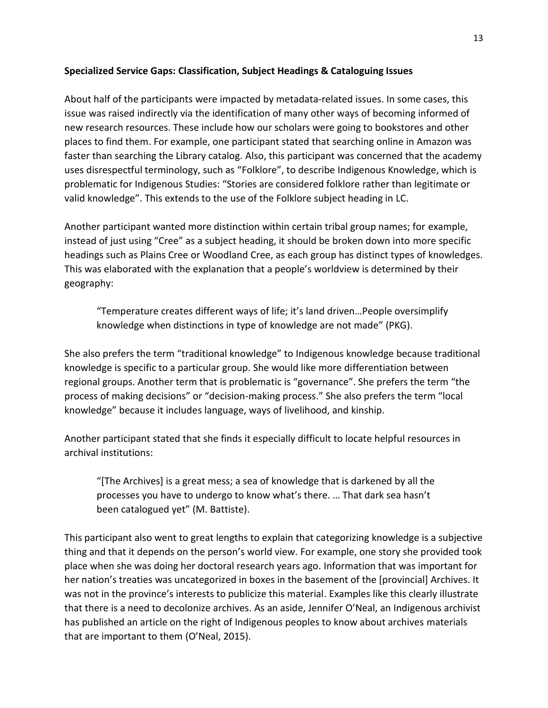## **Specialized Service Gaps: Classification, Subject Headings & Cataloguing Issues**

About half of the participants were impacted by metadata-related issues. In some cases, this issue was raised indirectly via the identification of many other ways of becoming informed of new research resources. These include how our scholars were going to bookstores and other places to find them. For example, one participant stated that searching online in Amazon was faster than searching the Library catalog. Also, this participant was concerned that the academy uses disrespectful terminology, such as "Folklore", to describe Indigenous Knowledge, which is problematic for Indigenous Studies: "Stories are considered folklore rather than legitimate or valid knowledge". This extends to the use of the Folklore subject heading in LC.

Another participant wanted more distinction within certain tribal group names; for example, instead of just using "Cree" as a subject heading, it should be broken down into more specific headings such as Plains Cree or Woodland Cree, as each group has distinct types of knowledges. This was elaborated with the explanation that a people's worldview is determined by their geography:

"Temperature creates different ways of life; it's land driven…People oversimplify knowledge when distinctions in type of knowledge are not made" (PKG).

She also prefers the term "traditional knowledge" to Indigenous knowledge because traditional knowledge is specific to a particular group. She would like more differentiation between regional groups. Another term that is problematic is "governance". She prefers the term "the process of making decisions" or "decision-making process." She also prefers the term "local knowledge" because it includes language, ways of livelihood, and kinship.

Another participant stated that she finds it especially difficult to locate helpful resources in archival institutions:

"[The Archives] is a great mess; a sea of knowledge that is darkened by all the processes you have to undergo to know what's there. … That dark sea hasn't been catalogued yet" (M. Battiste).

This participant also went to great lengths to explain that categorizing knowledge is a subjective thing and that it depends on the person's world view. For example, one story she provided took place when she was doing her doctoral research years ago. Information that was important for her nation's treaties was uncategorized in boxes in the basement of the [provincial] Archives. It was not in the province's interests to publicize this material. Examples like this clearly illustrate that there is a need to decolonize archives. As an aside, Jennifer O'Neal, an Indigenous archivist has published an article on the right of Indigenous peoples to know about archives materials that are important to them (O'Neal, 2015).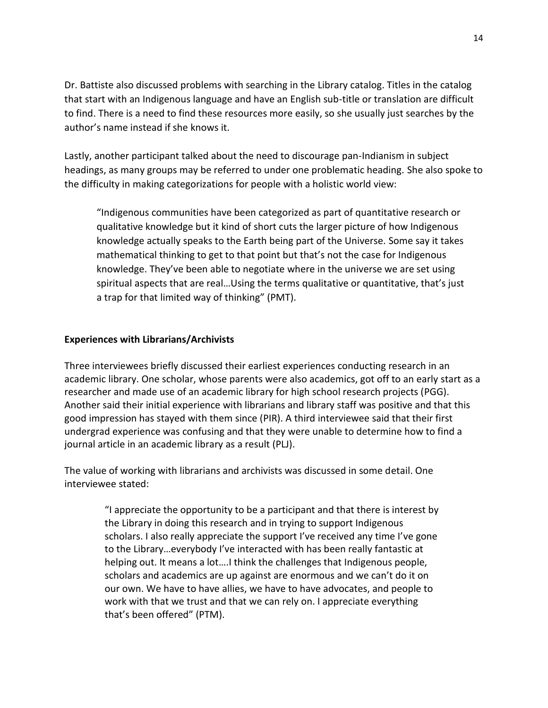Dr. Battiste also discussed problems with searching in the Library catalog. Titles in the catalog that start with an Indigenous language and have an English sub-title or translation are difficult to find. There is a need to find these resources more easily, so she usually just searches by the author's name instead if she knows it.

Lastly, another participant talked about the need to discourage pan-Indianism in subject headings, as many groups may be referred to under one problematic heading. She also spoke to the difficulty in making categorizations for people with a holistic world view:

"Indigenous communities have been categorized as part of quantitative research or qualitative knowledge but it kind of short cuts the larger picture of how Indigenous knowledge actually speaks to the Earth being part of the Universe. Some say it takes mathematical thinking to get to that point but that's not the case for Indigenous knowledge. They've been able to negotiate where in the universe we are set using spiritual aspects that are real…Using the terms qualitative or quantitative, that's just a trap for that limited way of thinking" (PMT).

## **Experiences with Librarians/Archivists**

Three interviewees briefly discussed their earliest experiences conducting research in an academic library. One scholar, whose parents were also academics, got off to an early start as a researcher and made use of an academic library for high school research projects (PGG). Another said their initial experience with librarians and library staff was positive and that this good impression has stayed with them since (PIR). A third interviewee said that their first undergrad experience was confusing and that they were unable to determine how to find a journal article in an academic library as a result (PLJ).

The value of working with librarians and archivists was discussed in some detail. One interviewee stated:

> "I appreciate the opportunity to be a participant and that there is interest by the Library in doing this research and in trying to support Indigenous scholars. I also really appreciate the support I've received any time I've gone to the Library…everybody I've interacted with has been really fantastic at helping out. It means a lot….I think the challenges that Indigenous people, scholars and academics are up against are enormous and we can't do it on our own. We have to have allies, we have to have advocates, and people to work with that we trust and that we can rely on. I appreciate everything that's been offered" (PTM).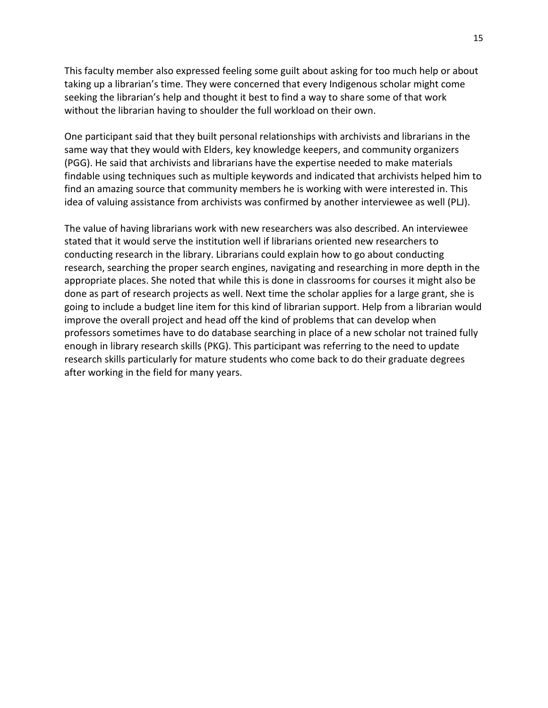This faculty member also expressed feeling some guilt about asking for too much help or about taking up a librarian's time. They were concerned that every Indigenous scholar might come seeking the librarian's help and thought it best to find a way to share some of that work without the librarian having to shoulder the full workload on their own.

One participant said that they built personal relationships with archivists and librarians in the same way that they would with Elders, key knowledge keepers, and community organizers (PGG). He said that archivists and librarians have the expertise needed to make materials findable using techniques such as multiple keywords and indicated that archivists helped him to find an amazing source that community members he is working with were interested in. This idea of valuing assistance from archivists was confirmed by another interviewee as well (PLJ).

The value of having librarians work with new researchers was also described. An interviewee stated that it would serve the institution well if librarians oriented new researchers to conducting research in the library. Librarians could explain how to go about conducting research, searching the proper search engines, navigating and researching in more depth in the appropriate places. She noted that while this is done in classrooms for courses it might also be done as part of research projects as well. Next time the scholar applies for a large grant, she is going to include a budget line item for this kind of librarian support. Help from a librarian would improve the overall project and head off the kind of problems that can develop when professors sometimes have to do database searching in place of a new scholar not trained fully enough in library research skills (PKG). This participant was referring to the need to update research skills particularly for mature students who come back to do their graduate degrees after working in the field for many years.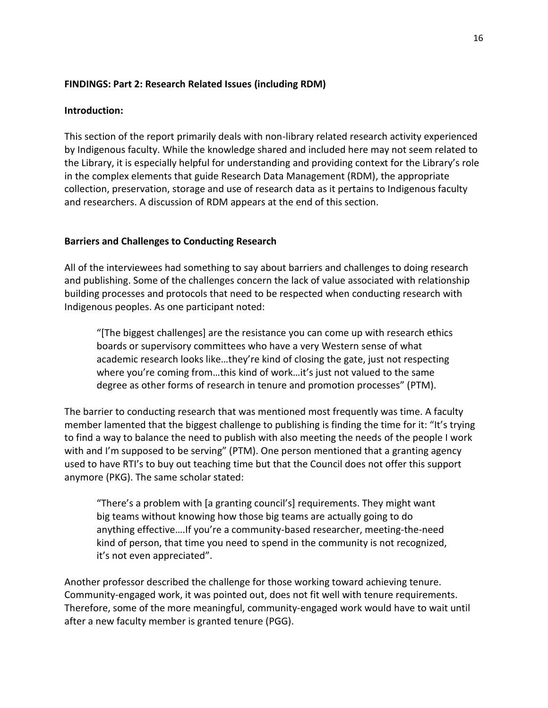## **FINDINGS: Part 2: Research Related Issues (including RDM)**

## **Introduction:**

This section of the report primarily deals with non-library related research activity experienced by Indigenous faculty. While the knowledge shared and included here may not seem related to the Library, it is especially helpful for understanding and providing context for the Library's role in the complex elements that guide Research Data Management (RDM), the appropriate collection, preservation, storage and use of research data as it pertains to Indigenous faculty and researchers. A discussion of RDM appears at the end of this section.

## **Barriers and Challenges to Conducting Research**

All of the interviewees had something to say about barriers and challenges to doing research and publishing. Some of the challenges concern the lack of value associated with relationship building processes and protocols that need to be respected when conducting research with Indigenous peoples. As one participant noted:

"[The biggest challenges] are the resistance you can come up with research ethics boards or supervisory committees who have a very Western sense of what academic research looks like…they're kind of closing the gate, just not respecting where you're coming from…this kind of work…it's just not valued to the same degree as other forms of research in tenure and promotion processes" (PTM).

The barrier to conducting research that was mentioned most frequently was time. A faculty member lamented that the biggest challenge to publishing is finding the time for it: "It's trying to find a way to balance the need to publish with also meeting the needs of the people I work with and I'm supposed to be serving" (PTM). One person mentioned that a granting agency used to have RTI's to buy out teaching time but that the Council does not offer this support anymore (PKG). The same scholar stated:

"There's a problem with [a granting council's] requirements. They might want big teams without knowing how those big teams are actually going to do anything effective….If you're a community-based researcher, meeting-the-need kind of person, that time you need to spend in the community is not recognized, it's not even appreciated".

Another professor described the challenge for those working toward achieving tenure. Community-engaged work, it was pointed out, does not fit well with tenure requirements. Therefore, some of the more meaningful, community-engaged work would have to wait until after a new faculty member is granted tenure (PGG).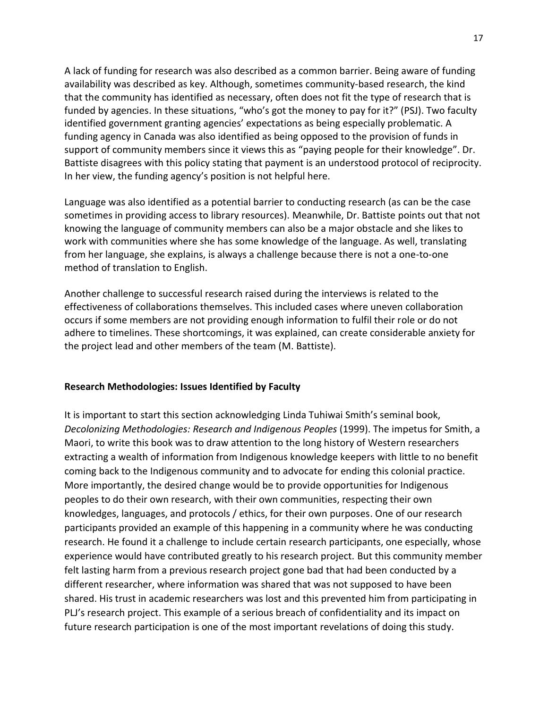A lack of funding for research was also described as a common barrier. Being aware of funding availability was described as key. Although, sometimes community-based research, the kind that the community has identified as necessary, often does not fit the type of research that is funded by agencies. In these situations, "who's got the money to pay for it?" (PSJ). Two faculty identified government granting agencies' expectations as being especially problematic. A funding agency in Canada was also identified as being opposed to the provision of funds in support of community members since it views this as "paying people for their knowledge". Dr. Battiste disagrees with this policy stating that payment is an understood protocol of reciprocity. In her view, the funding agency's position is not helpful here.

Language was also identified as a potential barrier to conducting research (as can be the case sometimes in providing access to library resources). Meanwhile, Dr. Battiste points out that not knowing the language of community members can also be a major obstacle and she likes to work with communities where she has some knowledge of the language. As well, translating from her language, she explains, is always a challenge because there is not a one-to-one method of translation to English.

Another challenge to successful research raised during the interviews is related to the effectiveness of collaborations themselves. This included cases where uneven collaboration occurs if some members are not providing enough information to fulfil their role or do not adhere to timelines. These shortcomings, it was explained, can create considerable anxiety for the project lead and other members of the team (M. Battiste).

## **Research Methodologies: Issues Identified by Faculty**

It is important to start this section acknowledging Linda Tuhiwai Smith's seminal book, *Decolonizing Methodologies: Research and Indigenous Peoples* (1999). The impetus for Smith, a Maori, to write this book was to draw attention to the long history of Western researchers extracting a wealth of information from Indigenous knowledge keepers with little to no benefit coming back to the Indigenous community and to advocate for ending this colonial practice. More importantly, the desired change would be to provide opportunities for Indigenous peoples to do their own research, with their own communities, respecting their own knowledges, languages, and protocols / ethics, for their own purposes. One of our research participants provided an example of this happening in a community where he was conducting research. He found it a challenge to include certain research participants, one especially, whose experience would have contributed greatly to his research project. But this community member felt lasting harm from a previous research project gone bad that had been conducted by a different researcher, where information was shared that was not supposed to have been shared. His trust in academic researchers was lost and this prevented him from participating in PLJ's research project. This example of a serious breach of confidentiality and its impact on future research participation is one of the most important revelations of doing this study.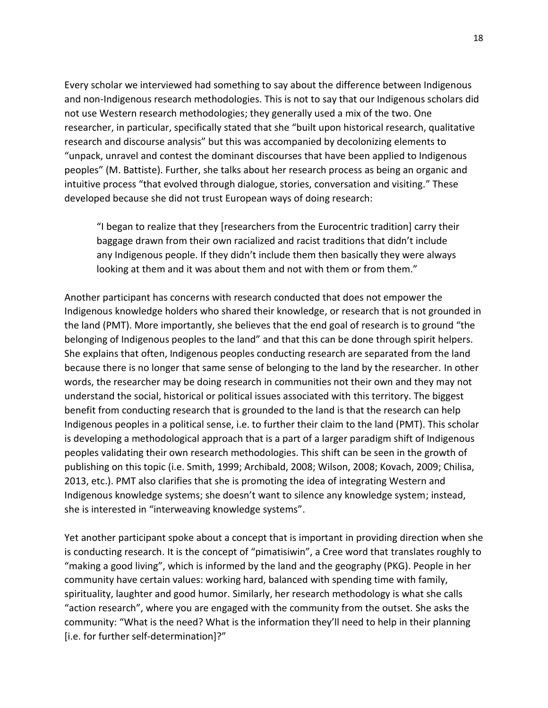Every scholar we interviewed had something to say about the difference between Indigenous and non-Indigenous research methodologies. This is not to say that our Indigenous scholars did not use Western research methodologies; they generally used a mix of the two. One researcher, in particular, specifically stated that she "built upon historical research, qualitative research and discourse analysis" but this was accompanied by decolonizing elements to "unpack, unravel and contest the dominant discourses that have been applied to Indigenous peoples" (M. Battiste). Further, she talks about her research process as being an organic and intuitive process "that evolved through dialogue, stories, conversation and visiting." These developed because she did not trust European ways of doing research:

"I began to realize that they [researchers from the Eurocentric tradition] carry their baggage drawn from their own racialized and racist traditions that didn't include any Indigenous people. If they didn't include them then basically they were always looking at them and it was about them and not with them or from them."

Another participant has concerns with research conducted that does not empower the Indigenous knowledge holders who shared their knowledge, or research that is not grounded in the land (PMT). More importantly, she believes that the end goal of research is to ground "the belonging of Indigenous peoples to the land" and that this can be done through spirit helpers. She explains that often, Indigenous peoples conducting research are separated from the land because there is no longer that same sense of belonging to the land by the researcher. In other words, the researcher may be doing research in communities not their own and they may not understand the social, historical or political issues associated with this territory. The biggest benefit from conducting research that is grounded to the land is that the research can help Indigenous peoples in a political sense, i.e. to further their claim to the land (PMT). This scholar is developing a methodological approach that is a part of a larger paradigm shift of Indigenous peoples validating their own research methodologies. This shift can be seen in the growth of publishing on this topic (i.e. Smith, 1999; Archibald, 2008; Wilson, 2008; Kovach, 2009; Chilisa, 2013, etc.). PMT also clarifies that she is promoting the idea of integrating Western and Indigenous knowledge systems; she doesn't want to silence any knowledge system; instead, she is interested in "interweaving knowledge systems".

Yet another participant spoke about a concept that is important in providing direction when she is conducting research. It is the concept of "pimatisiwin", a Cree word that translates roughly to "making a good living", which is informed by the land and the geography (PKG). People in her community have certain values: working hard, balanced with spending time with family, spirituality, laughter and good humor. Similarly, her research methodology is what she calls "action research", where you are engaged with the community from the outset. She asks the community: "What is the need? What is the information they'll need to help in their planning [i.e. for further self-determination]?"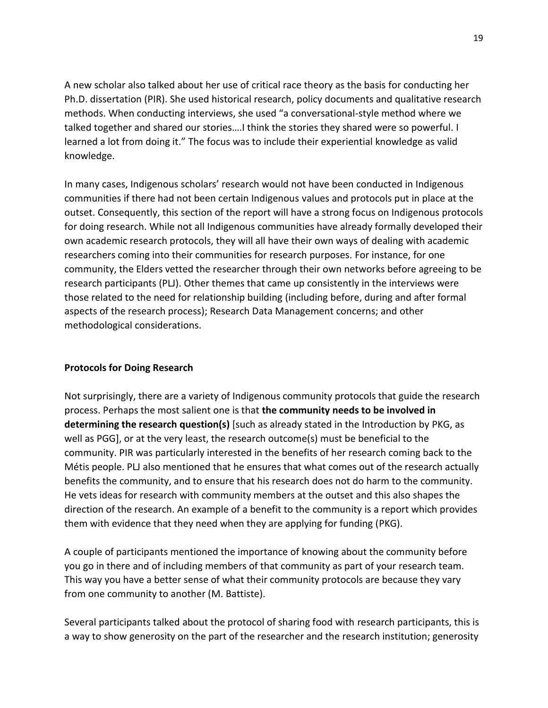A new scholar also talked about her use of critical race theory as the basis for conducting her Ph.D. dissertation (PIR). She used historical research, policy documents and qualitative research methods. When conducting interviews, she used "a conversational-style method where we talked together and shared our stories….I think the stories they shared were so powerful. I learned a lot from doing it." The focus was to include their experiential knowledge as valid knowledge.

In many cases, Indigenous scholars' research would not have been conducted in Indigenous communities if there had not been certain Indigenous values and protocols put in place at the outset. Consequently, this section of the report will have a strong focus on Indigenous protocols for doing research. While not all Indigenous communities have already formally developed their own academic research protocols, they will all have their own ways of dealing with academic researchers coming into their communities for research purposes. For instance, for one community, the Elders vetted the researcher through their own networks before agreeing to be research participants (PLJ). Other themes that came up consistently in the interviews were those related to the need for relationship building (including before, during and after formal aspects of the research process); Research Data Management concerns; and other methodological considerations.

# **Protocols for Doing Research**

Not surprisingly, there are a variety of Indigenous community protocols that guide the research process. Perhaps the most salient one is that **the community needs to be involved in determining the research question(s)** [such as already stated in the Introduction by PKG, as well as PGG], or at the very least, the research outcome(s) must be beneficial to the community. PIR was particularly interested in the benefits of her research coming back to the Métis people. PLJ also mentioned that he ensures that what comes out of the research actually benefits the community, and to ensure that his research does not do harm to the community. He vets ideas for research with community members at the outset and this also shapes the direction of the research. An example of a benefit to the community is a report which provides them with evidence that they need when they are applying for funding (PKG).

A couple of participants mentioned the importance of knowing about the community before you go in there and of including members of that community as part of your research team. This way you have a better sense of what their community protocols are because they vary from one community to another (M. Battiste).

Several participants talked about the protocol of sharing food with research participants, this is a way to show generosity on the part of the researcher and the research institution; generosity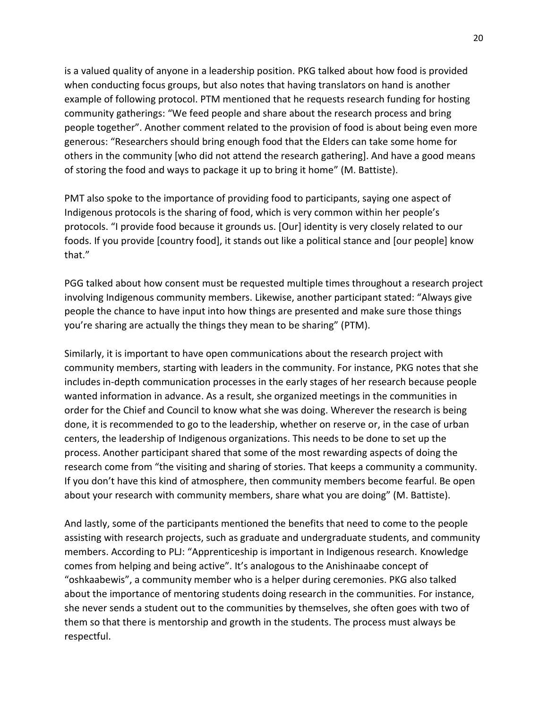is a valued quality of anyone in a leadership position. PKG talked about how food is provided when conducting focus groups, but also notes that having translators on hand is another example of following protocol. PTM mentioned that he requests research funding for hosting community gatherings: "We feed people and share about the research process and bring people together". Another comment related to the provision of food is about being even more generous: "Researchers should bring enough food that the Elders can take some home for others in the community [who did not attend the research gathering]. And have a good means of storing the food and ways to package it up to bring it home" (M. Battiste).

PMT also spoke to the importance of providing food to participants, saying one aspect of Indigenous protocols is the sharing of food, which is very common within her people's protocols. "I provide food because it grounds us. [Our] identity is very closely related to our foods. If you provide [country food], it stands out like a political stance and [our people] know that."

PGG talked about how consent must be requested multiple times throughout a research project involving Indigenous community members. Likewise, another participant stated: "Always give people the chance to have input into how things are presented and make sure those things you're sharing are actually the things they mean to be sharing" (PTM).

Similarly, it is important to have open communications about the research project with community members, starting with leaders in the community. For instance, PKG notes that she includes in-depth communication processes in the early stages of her research because people wanted information in advance. As a result, she organized meetings in the communities in order for the Chief and Council to know what she was doing. Wherever the research is being done, it is recommended to go to the leadership, whether on reserve or, in the case of urban centers, the leadership of Indigenous organizations. This needs to be done to set up the process. Another participant shared that some of the most rewarding aspects of doing the research come from "the visiting and sharing of stories. That keeps a community a community. If you don't have this kind of atmosphere, then community members become fearful. Be open about your research with community members, share what you are doing" (M. Battiste).

And lastly, some of the participants mentioned the benefits that need to come to the people assisting with research projects, such as graduate and undergraduate students, and community members. According to PLJ: "Apprenticeship is important in Indigenous research. Knowledge comes from helping and being active". It's analogous to the Anishinaabe concept of "oshkaabewis", a community member who is a helper during ceremonies. PKG also talked about the importance of mentoring students doing research in the communities. For instance, she never sends a student out to the communities by themselves, she often goes with two of them so that there is mentorship and growth in the students. The process must always be respectful.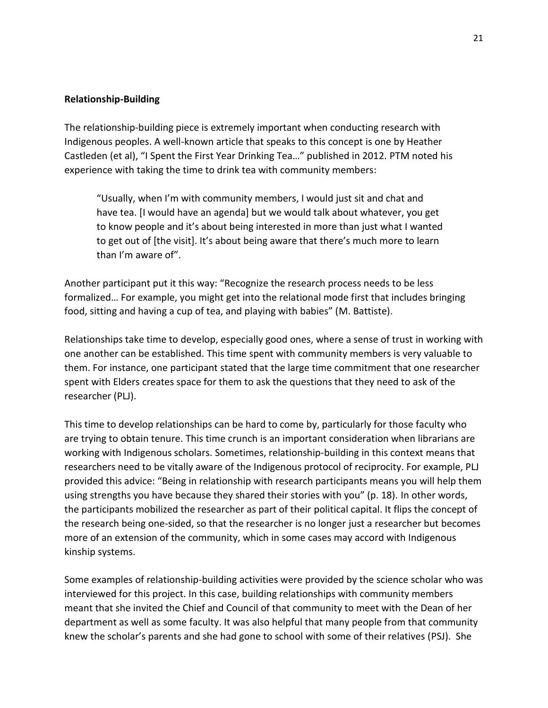### **Relationship-Building**

The relationship-building piece is extremely important when conducting research with Indigenous peoples. A well-known article that speaks to this concept is one by Heather Castleden (et al), "I Spent the First Year Drinking Tea…" published in 2012. PTM noted his experience with taking the time to drink tea with community members:

"Usually, when I'm with community members, I would just sit and chat and have tea. [I would have an agenda] but we would talk about whatever, you get to know people and it's about being interested in more than just what I wanted to get out of [the visit]. It's about being aware that there's much more to learn than I'm aware of".

Another participant put it this way: "Recognize the research process needs to be less formalized… For example, you might get into the relational mode first that includes bringing food, sitting and having a cup of tea, and playing with babies" (M. Battiste).

Relationships take time to develop, especially good ones, where a sense of trust in working with one another can be established. This time spent with community members is very valuable to them. For instance, one participant stated that the large time commitment that one researcher spent with Elders creates space for them to ask the questions that they need to ask of the researcher (PLJ).

This time to develop relationships can be hard to come by, particularly for those faculty who are trying to obtain tenure. This time crunch is an important consideration when librarians are working with Indigenous scholars. Sometimes, relationship-building in this context means that researchers need to be vitally aware of the Indigenous protocol of reciprocity. For example, PLJ provided this advice: "Being in relationship with research participants means you will help them using strengths you have because they shared their stories with you" (p. 18). In other words, the participants mobilized the researcher as part of their political capital. It flips the concept of the research being one-sided, so that the researcher is no longer just a researcher but becomes more of an extension of the community, which in some cases may accord with Indigenous kinship systems.

Some examples of relationship-building activities were provided by the science scholar who was interviewed for this project. In this case, building relationships with community members meant that she invited the Chief and Council of that community to meet with the Dean of her department as well as some faculty. It was also helpful that many people from that community knew the scholar's parents and she had gone to school with some of their relatives (PSJ). She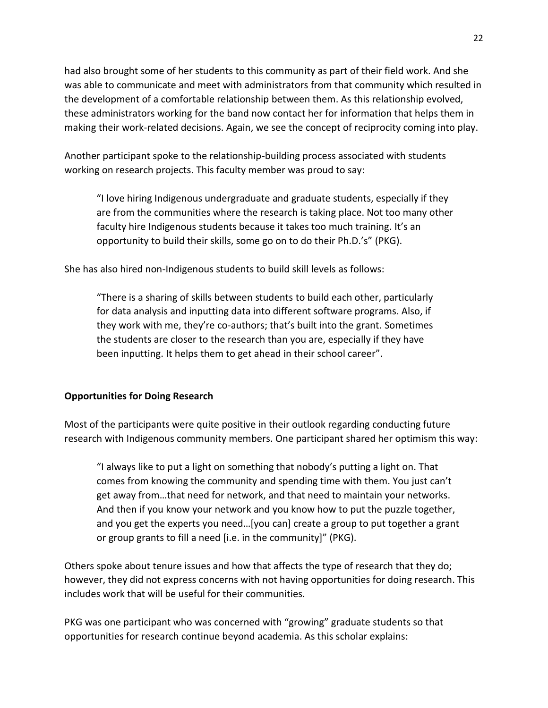had also brought some of her students to this community as part of their field work. And she was able to communicate and meet with administrators from that community which resulted in the development of a comfortable relationship between them. As this relationship evolved, these administrators working for the band now contact her for information that helps them in making their work-related decisions. Again, we see the concept of reciprocity coming into play.

Another participant spoke to the relationship-building process associated with students working on research projects. This faculty member was proud to say:

"I love hiring Indigenous undergraduate and graduate students, especially if they are from the communities where the research is taking place. Not too many other faculty hire Indigenous students because it takes too much training. It's an opportunity to build their skills, some go on to do their Ph.D.'s" (PKG).

She has also hired non-Indigenous students to build skill levels as follows:

"There is a sharing of skills between students to build each other, particularly for data analysis and inputting data into different software programs. Also, if they work with me, they're co-authors; that's built into the grant. Sometimes the students are closer to the research than you are, especially if they have been inputting. It helps them to get ahead in their school career".

## **Opportunities for Doing Research**

Most of the participants were quite positive in their outlook regarding conducting future research with Indigenous community members. One participant shared her optimism this way:

"I always like to put a light on something that nobody's putting a light on. That comes from knowing the community and spending time with them. You just can't get away from…that need for network, and that need to maintain your networks. And then if you know your network and you know how to put the puzzle together, and you get the experts you need…[you can] create a group to put together a grant or group grants to fill a need [i.e. in the community]" (PKG).

Others spoke about tenure issues and how that affects the type of research that they do; however, they did not express concerns with not having opportunities for doing research. This includes work that will be useful for their communities.

PKG was one participant who was concerned with "growing" graduate students so that opportunities for research continue beyond academia. As this scholar explains: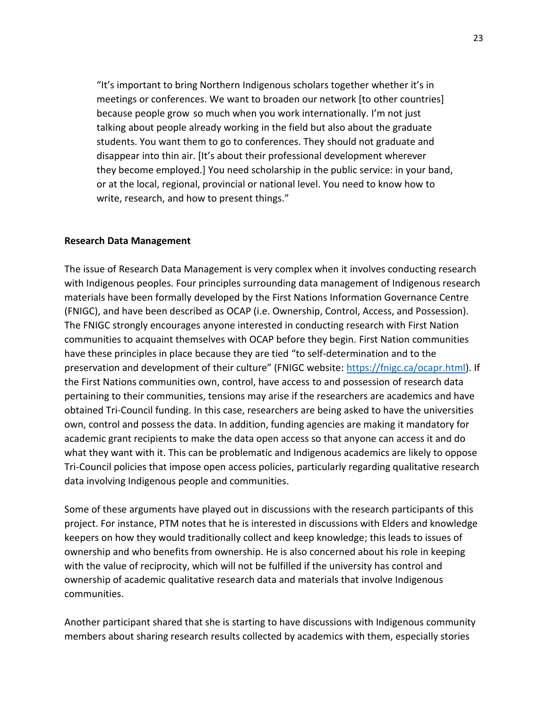"It's important to bring Northern Indigenous scholars together whether it's in meetings or conferences. We want to broaden our network [to other countries] because people grow so much when you work internationally. I'm not just talking about people already working in the field but also about the graduate students. You want them to go to conferences. They should not graduate and disappear into thin air. [It's about their professional development wherever they become employed.] You need scholarship in the public service: in your band, or at the local, regional, provincial or national level. You need to know how to write, research, and how to present things."

### **Research Data Management**

The issue of Research Data Management is very complex when it involves conducting research with Indigenous peoples. Four principles surrounding data management of Indigenous research materials have been formally developed by the First Nations Information Governance Centre (FNIGC), and have been described as OCAP (i.e. Ownership, Control, Access, and Possession). The FNIGC strongly encourages anyone interested in conducting research with First Nation communities to acquaint themselves with OCAP before they begin. First Nation communities have these principles in place because they are tied "to self-determination and to the preservation and development of their culture" (FNIGC website: [https://fnigc.ca/ocapr.html\)](https://fnigc.ca/ocapr.html). If the First Nations communities own, control, have access to and possession of research data pertaining to their communities, tensions may arise if the researchers are academics and have obtained Tri-Council funding. In this case, researchers are being asked to have the universities own, control and possess the data. In addition, funding agencies are making it mandatory for academic grant recipients to make the data open access so that anyone can access it and do what they want with it. This can be problematic and Indigenous academics are likely to oppose Tri-Council policies that impose open access policies, particularly regarding qualitative research data involving Indigenous people and communities.

Some of these arguments have played out in discussions with the research participants of this project. For instance, PTM notes that he is interested in discussions with Elders and knowledge keepers on how they would traditionally collect and keep knowledge; this leads to issues of ownership and who benefits from ownership. He is also concerned about his role in keeping with the value of reciprocity, which will not be fulfilled if the university has control and ownership of academic qualitative research data and materials that involve Indigenous communities.

Another participant shared that she is starting to have discussions with Indigenous community members about sharing research results collected by academics with them, especially stories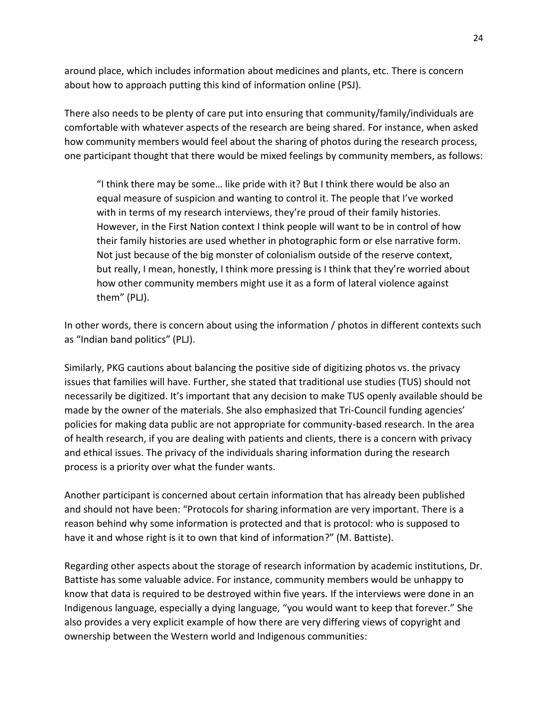around place, which includes information about medicines and plants, etc. There is concern about how to approach putting this kind of information online (PSJ).

There also needs to be plenty of care put into ensuring that community/family/individuals are comfortable with whatever aspects of the research are being shared. For instance, when asked how community members would feel about the sharing of photos during the research process, one participant thought that there would be mixed feelings by community members, as follows:

"I think there may be some… like pride with it? But I think there would be also an equal measure of suspicion and wanting to control it. The people that I've worked with in terms of my research interviews, they're proud of their family histories. However, in the First Nation context I think people will want to be in control of how their family histories are used whether in photographic form or else narrative form. Not just because of the big monster of colonialism outside of the reserve context, but really, I mean, honestly, I think more pressing is I think that they're worried about how other community members might use it as a form of lateral violence against them" (PLJ).

In other words, there is concern about using the information / photos in different contexts such as "Indian band politics" (PLJ).

Similarly, PKG cautions about balancing the positive side of digitizing photos vs. the privacy issues that families will have. Further, she stated that traditional use studies (TUS) should not necessarily be digitized. It's important that any decision to make TUS openly available should be made by the owner of the materials. She also emphasized that Tri-Council funding agencies' policies for making data public are not appropriate for community-based research. In the area of health research, if you are dealing with patients and clients, there is a concern with privacy and ethical issues. The privacy of the individuals sharing information during the research process is a priority over what the funder wants.

Another participant is concerned about certain information that has already been published and should not have been: "Protocols for sharing information are very important. There is a reason behind why some information is protected and that is protocol: who is supposed to have it and whose right is it to own that kind of information?" (M. Battiste).

Regarding other aspects about the storage of research information by academic institutions, Dr. Battiste has some valuable advice. For instance, community members would be unhappy to know that data is required to be destroyed within five years. If the interviews were done in an Indigenous language, especially a dying language, "you would want to keep that forever." She also provides a very explicit example of how there are very differing views of copyright and ownership between the Western world and Indigenous communities: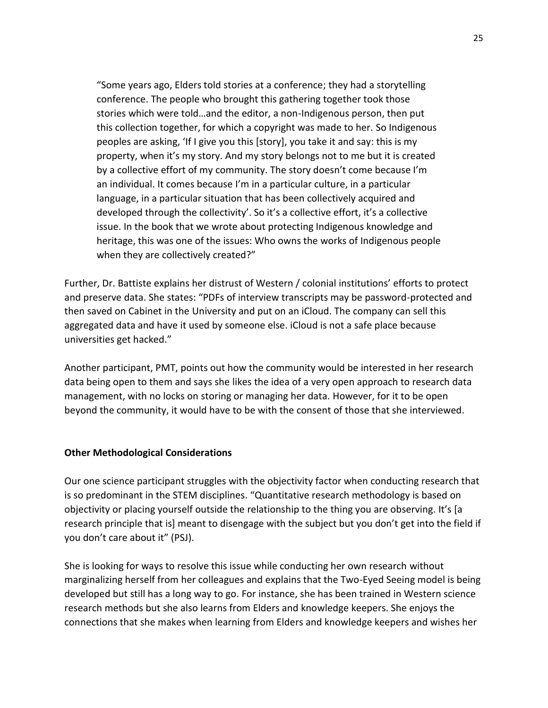"Some years ago, Elders told stories at a conference; they had a storytelling conference. The people who brought this gathering together took those stories which were told…and the editor, a non-Indigenous person, then put this collection together, for which a copyright was made to her. So Indigenous peoples are asking, 'If I give you this [story], you take it and say: this is my property, when it's my story. And my story belongs not to me but it is created by a collective effort of my community. The story doesn't come because I'm an individual. It comes because I'm in a particular culture, in a particular language, in a particular situation that has been collectively acquired and developed through the collectivity'. So it's a collective effort, it's a collective issue. In the book that we wrote about protecting Indigenous knowledge and heritage, this was one of the issues: Who owns the works of Indigenous people when they are collectively created?"

Further, Dr. Battiste explains her distrust of Western / colonial institutions' efforts to protect and preserve data. She states: "PDFs of interview transcripts may be password-protected and then saved on Cabinet in the University and put on an iCloud. The company can sell this aggregated data and have it used by someone else. iCloud is not a safe place because universities get hacked."

Another participant, PMT, points out how the community would be interested in her research data being open to them and says she likes the idea of a very open approach to research data management, with no locks on storing or managing her data. However, for it to be open beyond the community, it would have to be with the consent of those that she interviewed.

## **Other Methodological Considerations**

Our one science participant struggles with the objectivity factor when conducting research that is so predominant in the STEM disciplines. "Quantitative research methodology is based on objectivity or placing yourself outside the relationship to the thing you are observing. It's [a research principle that is] meant to disengage with the subject but you don't get into the field if you don't care about it" (PSJ).

She is looking for ways to resolve this issue while conducting her own research without marginalizing herself from her colleagues and explains that the Two-Eyed Seeing model is being developed but still has a long way to go. For instance, she has been trained in Western science research methods but she also learns from Elders and knowledge keepers. She enjoys the connections that she makes when learning from Elders and knowledge keepers and wishes her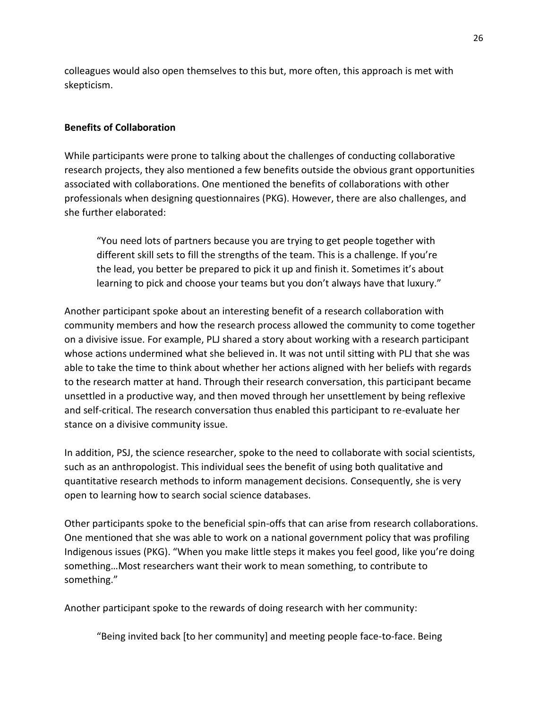colleagues would also open themselves to this but, more often, this approach is met with skepticism.

## **Benefits of Collaboration**

While participants were prone to talking about the challenges of conducting collaborative research projects, they also mentioned a few benefits outside the obvious grant opportunities associated with collaborations. One mentioned the benefits of collaborations with other professionals when designing questionnaires (PKG). However, there are also challenges, and she further elaborated:

"You need lots of partners because you are trying to get people together with different skill sets to fill the strengths of the team. This is a challenge. If you're the lead, you better be prepared to pick it up and finish it. Sometimes it's about learning to pick and choose your teams but you don't always have that luxury."

Another participant spoke about an interesting benefit of a research collaboration with community members and how the research process allowed the community to come together on a divisive issue. For example, PLJ shared a story about working with a research participant whose actions undermined what she believed in. It was not until sitting with PLJ that she was able to take the time to think about whether her actions aligned with her beliefs with regards to the research matter at hand. Through their research conversation, this participant became unsettled in a productive way, and then moved through her unsettlement by being reflexive and self-critical. The research conversation thus enabled this participant to re-evaluate her stance on a divisive community issue.

In addition, PSJ, the science researcher, spoke to the need to collaborate with social scientists, such as an anthropologist. This individual sees the benefit of using both qualitative and quantitative research methods to inform management decisions. Consequently, she is very open to learning how to search social science databases.

Other participants spoke to the beneficial spin-offs that can arise from research collaborations. One mentioned that she was able to work on a national government policy that was profiling Indigenous issues (PKG). "When you make little steps it makes you feel good, like you're doing something…Most researchers want their work to mean something, to contribute to something."

Another participant spoke to the rewards of doing research with her community:

"Being invited back [to her community] and meeting people face-to-face. Being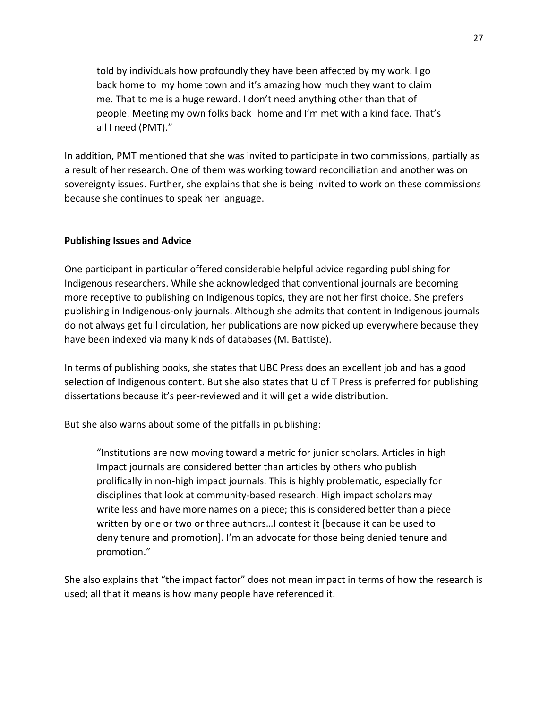told by individuals how profoundly they have been affected by my work. I go back home to my home town and it's amazing how much they want to claim me. That to me is a huge reward. I don't need anything other than that of people. Meeting my own folks back home and I'm met with a kind face. That's all I need (PMT)."

In addition, PMT mentioned that she was invited to participate in two commissions, partially as a result of her research. One of them was working toward reconciliation and another was on sovereignty issues. Further, she explains that she is being invited to work on these commissions because she continues to speak her language.

## **Publishing Issues and Advice**

One participant in particular offered considerable helpful advice regarding publishing for Indigenous researchers. While she acknowledged that conventional journals are becoming more receptive to publishing on Indigenous topics, they are not her first choice. She prefers publishing in Indigenous-only journals. Although she admits that content in Indigenous journals do not always get full circulation, her publications are now picked up everywhere because they have been indexed via many kinds of databases (M. Battiste).

In terms of publishing books, she states that UBC Press does an excellent job and has a good selection of Indigenous content. But she also states that U of T Press is preferred for publishing dissertations because it's peer-reviewed and it will get a wide distribution.

But she also warns about some of the pitfalls in publishing:

"Institutions are now moving toward a metric for junior scholars. Articles in high Impact journals are considered better than articles by others who publish prolifically in non-high impact journals. This is highly problematic, especially for disciplines that look at community-based research. High impact scholars may write less and have more names on a piece; this is considered better than a piece written by one or two or three authors…I contest it [because it can be used to deny tenure and promotion]. I'm an advocate for those being denied tenure and promotion."

She also explains that "the impact factor" does not mean impact in terms of how the research is used; all that it means is how many people have referenced it.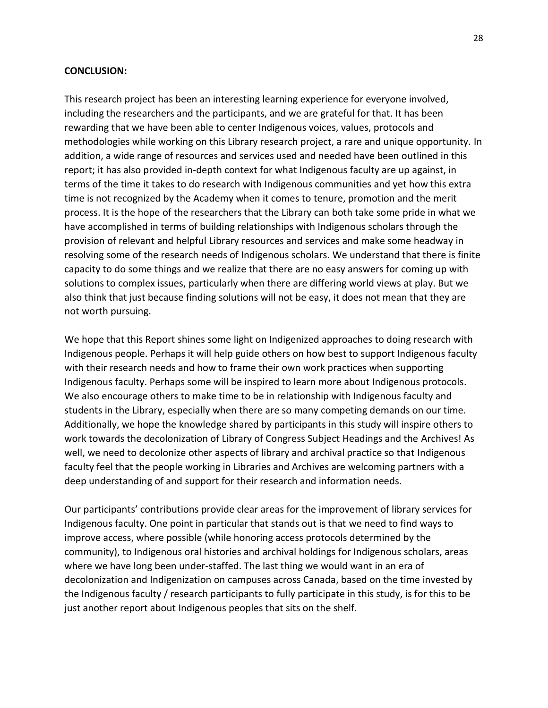#### **CONCLUSION:**

This research project has been an interesting learning experience for everyone involved, including the researchers and the participants, and we are grateful for that. It has been rewarding that we have been able to center Indigenous voices, values, protocols and methodologies while working on this Library research project, a rare and unique opportunity. In addition, a wide range of resources and services used and needed have been outlined in this report; it has also provided in-depth context for what Indigenous faculty are up against, in terms of the time it takes to do research with Indigenous communities and yet how this extra time is not recognized by the Academy when it comes to tenure, promotion and the merit process. It is the hope of the researchers that the Library can both take some pride in what we have accomplished in terms of building relationships with Indigenous scholars through the provision of relevant and helpful Library resources and services and make some headway in resolving some of the research needs of Indigenous scholars. We understand that there is finite capacity to do some things and we realize that there are no easy answers for coming up with solutions to complex issues, particularly when there are differing world views at play. But we also think that just because finding solutions will not be easy, it does not mean that they are not worth pursuing.

We hope that this Report shines some light on Indigenized approaches to doing research with Indigenous people. Perhaps it will help guide others on how best to support Indigenous faculty with their research needs and how to frame their own work practices when supporting Indigenous faculty. Perhaps some will be inspired to learn more about Indigenous protocols. We also encourage others to make time to be in relationship with Indigenous faculty and students in the Library, especially when there are so many competing demands on our time. Additionally, we hope the knowledge shared by participants in this study will inspire others to work towards the decolonization of Library of Congress Subject Headings and the Archives! As well, we need to decolonize other aspects of library and archival practice so that Indigenous faculty feel that the people working in Libraries and Archives are welcoming partners with a deep understanding of and support for their research and information needs.

Our participants' contributions provide clear areas for the improvement of library services for Indigenous faculty. One point in particular that stands out is that we need to find ways to improve access, where possible (while honoring access protocols determined by the community), to Indigenous oral histories and archival holdings for Indigenous scholars, areas where we have long been under-staffed. The last thing we would want in an era of decolonization and Indigenization on campuses across Canada, based on the time invested by the Indigenous faculty / research participants to fully participate in this study, is for this to be just another report about Indigenous peoples that sits on the shelf.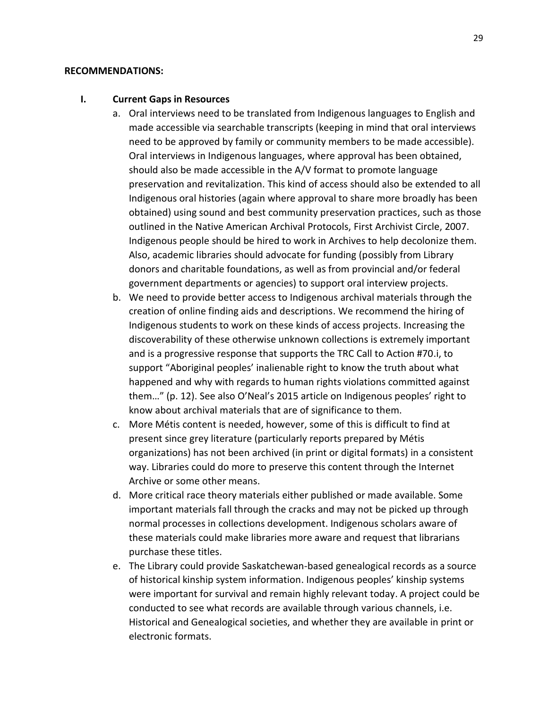#### **RECOMMENDATIONS:**

#### **I. Current Gaps in Resources**

- a. Oral interviews need to be translated from Indigenous languages to English and made accessible via searchable transcripts (keeping in mind that oral interviews need to be approved by family or community members to be made accessible). Oral interviews in Indigenous languages, where approval has been obtained, should also be made accessible in the A/V format to promote language preservation and revitalization. This kind of access should also be extended to all Indigenous oral histories (again where approval to share more broadly has been obtained) using sound and best community preservation practices, such as those outlined in the Native American Archival Protocols, First Archivist Circle, 2007. Indigenous people should be hired to work in Archives to help decolonize them. Also, academic libraries should advocate for funding (possibly from Library donors and charitable foundations, as well as from provincial and/or federal government departments or agencies) to support oral interview projects.
- b. We need to provide better access to Indigenous archival materials through the creation of online finding aids and descriptions. We recommend the hiring of Indigenous students to work on these kinds of access projects. Increasing the discoverability of these otherwise unknown collections is extremely important and is a progressive response that supports the TRC Call to Action #70.i, to support "Aboriginal peoples' inalienable right to know the truth about what happened and why with regards to human rights violations committed against them…" (p. 12). See also O'Neal's 2015 article on Indigenous peoples' right to know about archival materials that are of significance to them.
- c. More Métis content is needed, however, some of this is difficult to find at present since grey literature (particularly reports prepared by Métis organizations) has not been archived (in print or digital formats) in a consistent way. Libraries could do more to preserve this content through the Internet Archive or some other means.
- d. More critical race theory materials either published or made available. Some important materials fall through the cracks and may not be picked up through normal processes in collections development. Indigenous scholars aware of these materials could make libraries more aware and request that librarians purchase these titles.
- e. The Library could provide Saskatchewan-based genealogical records as a source of historical kinship system information. Indigenous peoples' kinship systems were important for survival and remain highly relevant today. A project could be conducted to see what records are available through various channels, i.e. Historical and Genealogical societies, and whether they are available in print or electronic formats.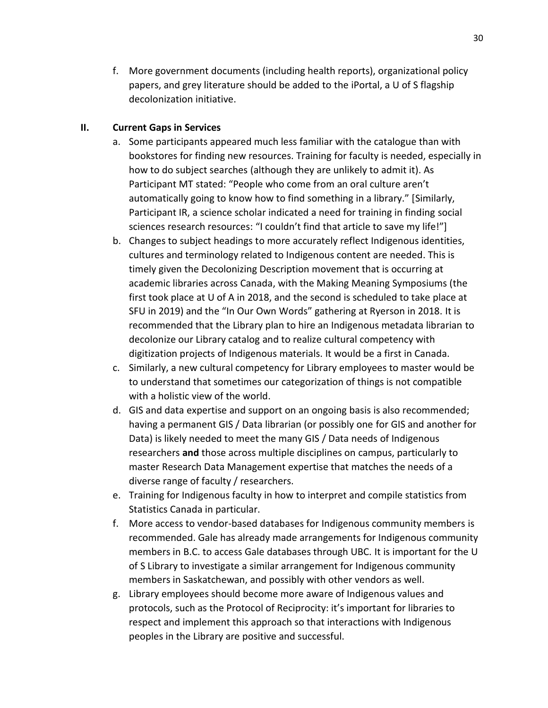f. More government documents (including health reports), organizational policy papers, and grey literature should be added to the iPortal, a U of S flagship decolonization initiative.

# **II. Current Gaps in Services**

- a. Some participants appeared much less familiar with the catalogue than with bookstores for finding new resources. Training for faculty is needed, especially in how to do subject searches (although they are unlikely to admit it). As Participant MT stated: "People who come from an oral culture aren't automatically going to know how to find something in a library." [Similarly, Participant IR, a science scholar indicated a need for training in finding social sciences research resources: "I couldn't find that article to save my life!"]
- b. Changes to subject headings to more accurately reflect Indigenous identities, cultures and terminology related to Indigenous content are needed. This is timely given the Decolonizing Description movement that is occurring at academic libraries across Canada, with the Making Meaning Symposiums (the first took place at U of A in 2018, and the second is scheduled to take place at SFU in 2019) and the "In Our Own Words" gathering at Ryerson in 2018. It is recommended that the Library plan to hire an Indigenous metadata librarian to decolonize our Library catalog and to realize cultural competency with digitization projects of Indigenous materials. It would be a first in Canada.
- c. Similarly, a new cultural competency for Library employees to master would be to understand that sometimes our categorization of things is not compatible with a holistic view of the world.
- d. GIS and data expertise and support on an ongoing basis is also recommended; having a permanent GIS / Data librarian (or possibly one for GIS and another for Data) is likely needed to meet the many GIS / Data needs of Indigenous researchers **and** those across multiple disciplines on campus, particularly to master Research Data Management expertise that matches the needs of a diverse range of faculty / researchers.
- e. Training for Indigenous faculty in how to interpret and compile statistics from Statistics Canada in particular.
- f. More access to vendor-based databases for Indigenous community members is recommended. Gale has already made arrangements for Indigenous community members in B.C. to access Gale databases through UBC. It is important for the U of S Library to investigate a similar arrangement for Indigenous community members in Saskatchewan, and possibly with other vendors as well.
- g. Library employees should become more aware of Indigenous values and protocols, such as the Protocol of Reciprocity: it's important for libraries to respect and implement this approach so that interactions with Indigenous peoples in the Library are positive and successful.